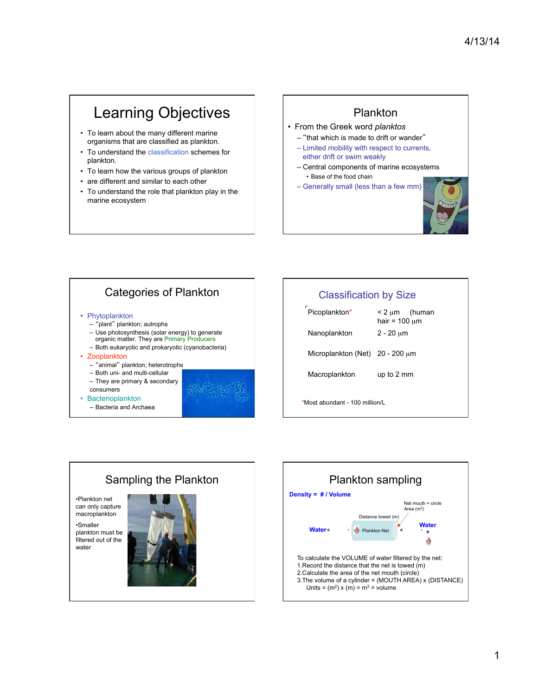# Learning Objectives

- To learn about the many different marine organisms that are classified as plankton.
- To understand the classification schemes for plankton.
- To learn how the various groups of plankton
- are different and similar to each other
- To understand the role that plankton play in the marine ecosystem

#### Plankton

- From the Greek word *planktos* 
	- "that which is made to drift or wander"
	- Limited mobility with respect to currents, either drift or swim weakly
	- Central components of marine ecosystems • Base of the food chain
	- Generally small (less than a few mm)



### Categories of Plankton

#### • Phytoplankton

- "plant" plankton; autrophs
- Use photosynthesis (solar energy) to generate organic matter. They are Primary Producers
- Both eukaryotic and prokaryotic (cyanobacteria)
- Zooplankton
	- "animal" plankton; heterotrophs
	- Both uni- and multi-cellular – They are primary & secondary
	- consumers
- Bacterioplankton
	- Bacteria and Archaea

# Classification by Size  $Picoplankton* < 2 \mu m$  (human hair =  $100 \mu m$ Nanoplankton 2 - 20 µm Microplankton (Net) 20 - 200 µm Macroplankton up to 2 mm \*Most abundant - 100 million/L

## Sampling the Plankton

•Plankton net can only capture macroplankton

•Smaller plankton must be filtered out of the water



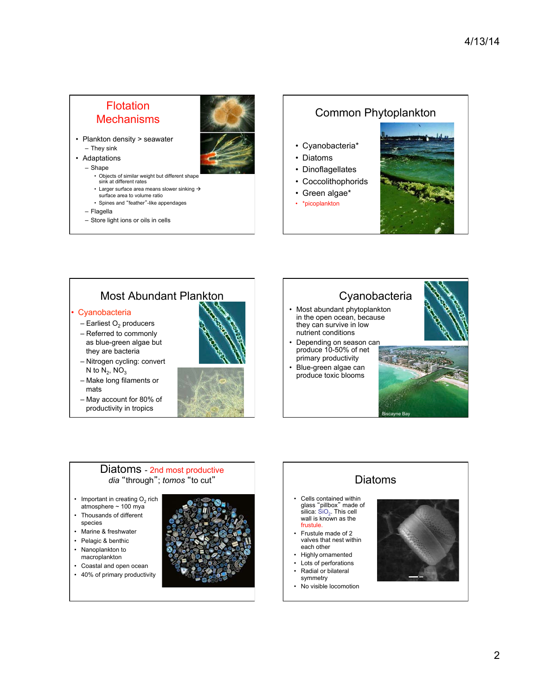#### **Flotation Mechanisms**

- Plankton density > seawater – They sink
- Adaptations
	- Shape
		- Objects of similar weight but different shap
		- sink at different rates
		- Larger surface area means slower sinking  $\rightarrow$ surface area to volume ratio
		- Spines and "feather"-like appendages
	- Flagella
	- Store light ions or oils in cells

#### Common Phytoplankton

- Cyanobacteria\*
- Diatoms
- Dinoflagellates
- Coccolithophorids
- Green algae\*
- \*picoplankton



## Most Abundant Plankton

#### **Cyanobacteria**

- $-$  Earliest O<sub>2</sub> producers
- Referred to commonly as blue-green algae but they are bacteria
- Nitrogen cycling: convert N to  $N_2$ ,  $NO_3$
- Make long filaments or mats
- May account for 80% of productivity in tropics



#### **Cyanobacteria**

- Most abundant phytoplankton in the open ocean, because they can survive in low nutrient conditions
- Depending on season can produce 10-50% of net primary productivity
- Blue-green algae can produce toxic blooms





#### Diatoms - 2nd most productive *dia* "through"; *tomos* "to cut"

- Important in creating  $O<sub>2</sub>$  rich  $atmosphere ~ 100 mya$
- Thousands of different species
- Marine & freshwater
- Pelagic & benthic
- Nanoplankton to macroplankton
- Coastal and open ocean
- 40% of primary productivity



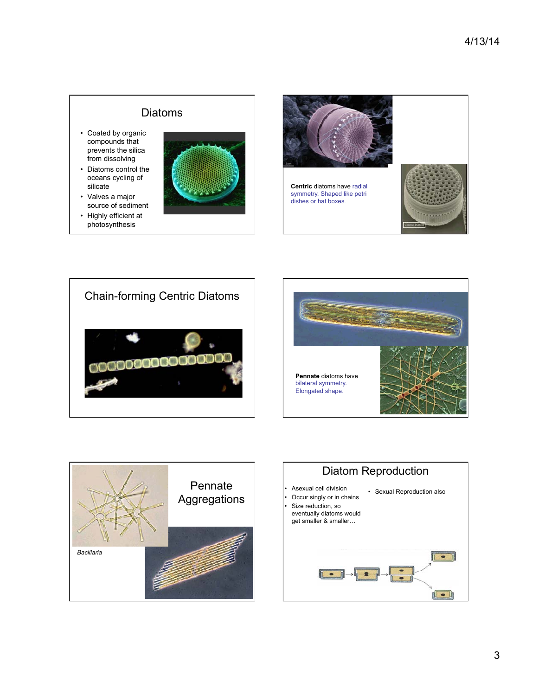#### Diatoms

- Coated by organic compounds that prevents the silica from dissolving
- Diatoms control the oceans cycling of silicate
- Valves a major source of sediment
- Highly efficient at photosynthesis











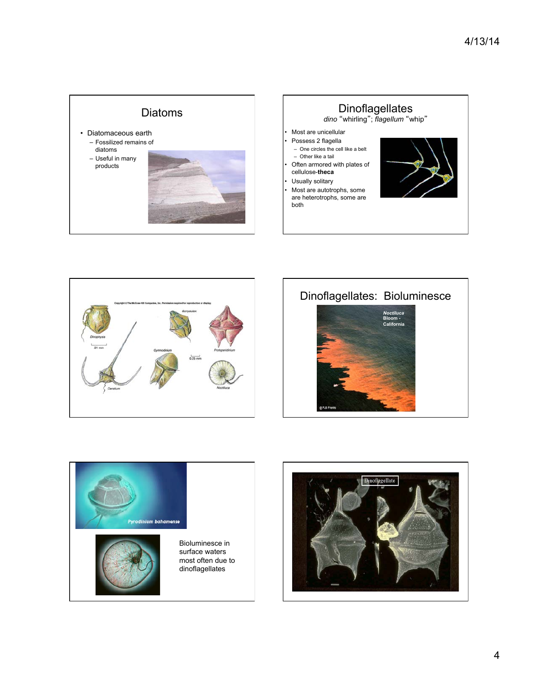









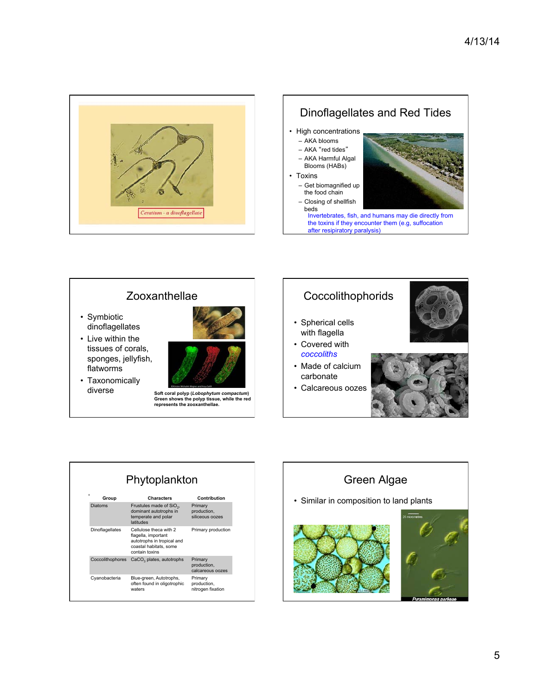